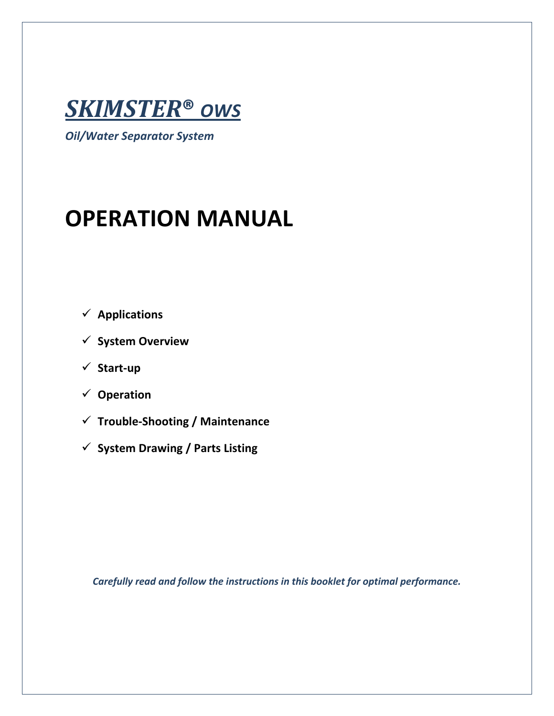

*Oil/Water Separator System*

# **OPERATION MANUAL**

- **Applications**
- **System Overview**
- **Start-up**
- **Operation**
- **Trouble-Shooting / Maintenance**
- **✓** System Drawing / Parts Listing

*Carefully read and follow the instructions in this booklet for optimal performance.*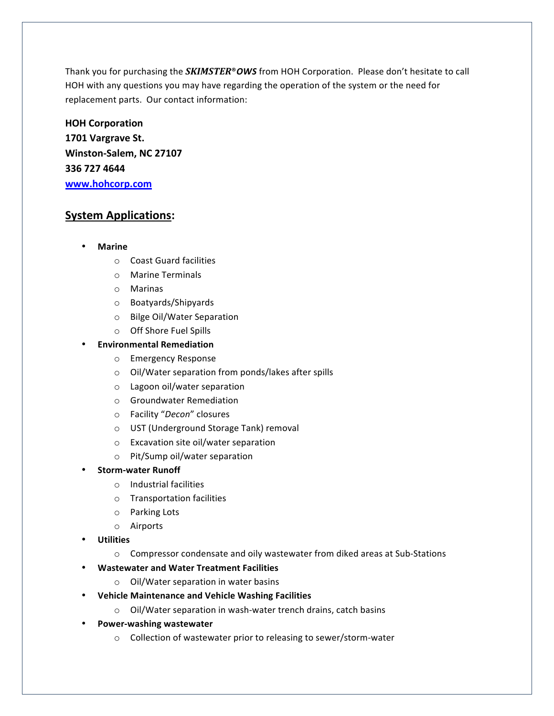Thank you for purchasing the *SKIMSTER*®OWS from HOH Corporation. Please don't hesitate to call HOH with any questions you may have regarding the operation of the system or the need for replacement parts. Our contact information:

# **HOH Corporation 1701 Vargrave St.** Winston-Salem, NC 27107 **336 727 4644 www.hohcorp.com**

# **System Applications:**

- **Marine**
	- $\circ$  Coast Guard facilities
	- o Marine Terminals
	- o Marinas
	- o Boatyards/Shipyards
	- o Bilge Oil/Water Separation
	- $\circ$  Off Shore Fuel Spills

#### • **Environmental Remediation**

- o Emergency Response
- o Oil/Water separation from ponds/lakes after spills
- o Lagoon oil/water separation
- $\circ$  Groundwater Remediation
- o Facility "*Decon*" closures
- o UST (Underground Storage Tank) removal
- $\circ$  Excavation site oil/water separation
- o Pit/Sump oil/water separation

#### • **Storm-water Runoff**

- $\circ$  Industrial facilities
- $\circ$  Transportation facilities
- o Parking Lots
- o Airports
- **Utilities**
	- $\circ$  Compressor condensate and oily wastewater from diked areas at Sub-Stations
- **Wastewater and Water Treatment Facilities** 
	- $\circ$  Oil/Water separation in water basins
- **•** Vehicle Maintenance and Vehicle Washing Facilities
	- $\circ$  Oil/Water separation in wash-water trench drains, catch basins
- **Power-washing wastewater**
	- $\circ$  Collection of wastewater prior to releasing to sewer/storm-water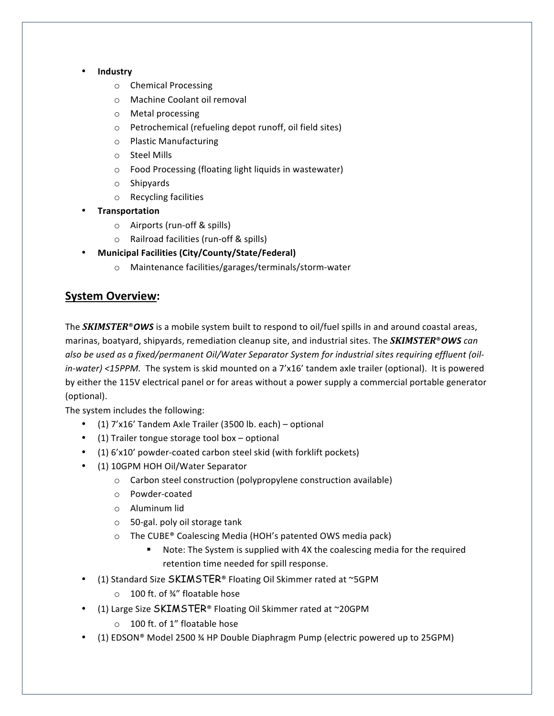- **Industry**
	- o Chemical Processing
	- o Machine Coolant oil removal
	- o Metal processing
	- o Petrochemical (refueling depot runoff, oil field sites)
	- o Plastic Manufacturing
	- o Steel Mills
	- $\circ$  Food Processing (floating light liquids in wastewater)
	- o Shipyards
	- $\circ$  Recycling facilities
- **Transportation**
	- $\circ$  Airports (run-off & spills)
	- $\circ$  Railroad facilities (run-off & spills)
- **Municipal Facilities (City/County/State/Federal)**
	- o Maintenance facilities/garages/terminals/storm-water

#### **System Overview:**

The *SKIMSTER®OWS* is a mobile system built to respond to oil/fuel spills in and around coastal areas, marinas, boatyard, shipyards, remediation cleanup site, and industrial sites. The **SKIMSTER**®OWS can also be used as a fixed/permanent Oil/Water Separator System for industrial sites requiring effluent (oil*in-water)* <15PPM. The system is skid mounted on a 7'x16' tandem axle trailer (optional). It is powered by either the 115V electrical panel or for areas without a power supply a commercial portable generator (optional).

The system includes the following:

- $(1)$  7'x16' Tandem Axle Trailer (3500 lb. each) optional
- $(1)$  Trailer tongue storage tool box optional
- (1) 6'x10' powder-coated carbon steel skid (with forklift pockets)
- (1) 10GPM HOH Oil/Water Separator
	- $\circ$  Carbon steel construction (polypropylene construction available)
	- o Powder-coated
	- o Aluminum lid
	- $\circ$  50-gal. poly oil storage tank
	- $\circ$  The CUBE® Coalescing Media (HOH's patented OWS media pack)
		- Note: The System is supplied with 4X the coalescing media for the required retention time needed for spill response.
- (1) Standard Size  $SKIMSTER^{\circ}$  Floating Oil Skimmer rated at ~5GPM
	- o 100 ft. of 34" floatable hose
- (1) Large Size SKIMSTER® Floating Oil Skimmer rated at ~20GPM
	- o 100 ft. of 1" floatable hose
- (1) EDSON® Model 2500  $\frac{3}{4}$  HP Double Diaphragm Pump (electric powered up to 25GPM)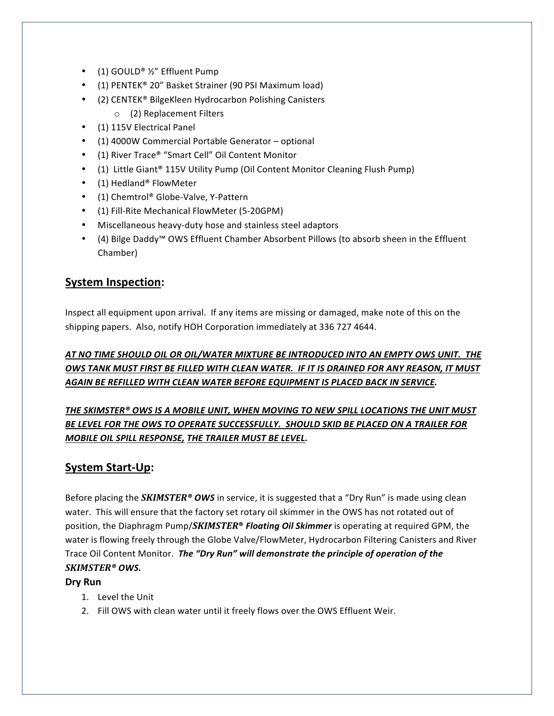- (1) GOULD® ½" Effluent Pump
- $(1)$  PENTEK® 20" Basket Strainer (90 PSI Maximum load)
- (2) CENTEK® BilgeKleen Hydrocarbon Polishing Canisters
	- $\circ$  (2) Replacement Filters
- (1) 115V Electrical Panel
- (1) 4000W Commercial Portable Generator optional
- (1) River Trace® "Smart Cell" Oil Content Monitor
- (1) Little Giant<sup>®</sup> 115V Utility Pump (Oil Content Monitor Cleaning Flush Pump)
- (1) Hedland® FlowMeter
- (1) Chemtrol® Globe-Valve, Y-Pattern
- (1) Fill-Rite Mechanical FlowMeter (5-20GPM)
- Miscellaneous heavy-duty hose and stainless steel adaptors
- (4) Bilge Daddy™ OWS Effluent Chamber Absorbent Pillows (to absorb sheen in the Effluent Chamber)

## **System Inspection:**

Inspect all equipment upon arrival. If any items are missing or damaged, make note of this on the shipping papers. Also, notify HOH Corporation immediately at 336 727 4644.

#### AT NO TIME SHOULD OIL OR OIL/WATER MIXTURE BE INTRODUCED INTO AN EMPTY OWS UNIT. THE **OWS TANK MUST FIRST BE FILLED WITH CLEAN WATER. IF IT IS DRAINED FOR ANY REASON, IT MUST** *AGAIN BE REFILLED WITH CLEAN WATER BEFORE EQUIPMENT IS PLACED BACK IN SERVICE.*

THE SKIMSTER® OWS IS A MOBILE UNIT, WHEN MOVING TO NEW SPILL LOCATIONS THE UNIT MUST BE LEVEL FOR THE OWS TO OPERATE SUCCESSFULLY. SHOULD SKID BE PLACED ON A TRAILER FOR **MOBILE OIL SPILL RESPONSE, THE TRAILER MUST BE LEVEL.** 

#### **System Start-Up:**

Before placing the **SKIMSTER<sup>®</sup> OWS** in service, it is suggested that a "Dry Run" is made using clean water. This will ensure that the factory set rotary oil skimmer in the OWS has not rotated out of position, the Diaphragm Pump/*SKIMSTER<sup>®</sup> Floating Oil Skimmer* is operating at required GPM, the water is flowing freely through the Globe Valve/FlowMeter, Hydrocarbon Filtering Canisters and River Trace Oil Content Monitor. The "Dry Run" will demonstrate the principle of operation of the *SKIMSTER® OWS.*

#### **Dry Run**

- 1. Level the Unit
- 2. Fill OWS with clean water until it freely flows over the OWS Effluent Weir.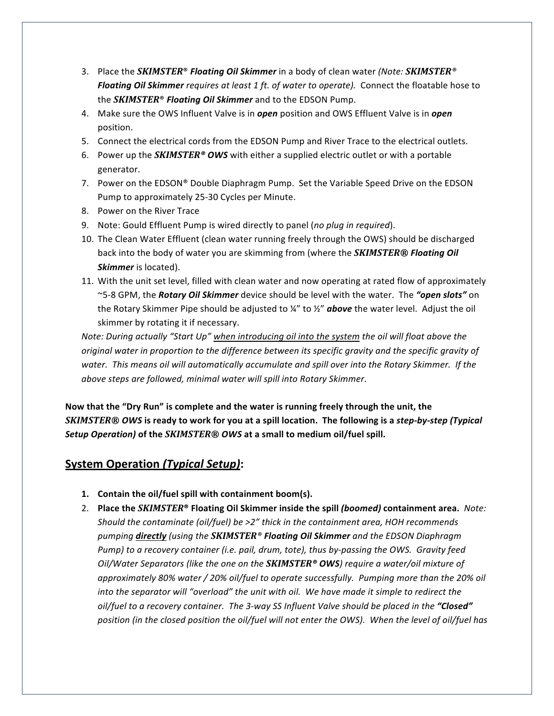- 3. Place the *SKIMSTER<sup>®</sup> Floating Oil Skimmer* in a body of clean water *(Note: SKIMSTER*<sup>®</sup> **Floating Oil Skimmer** requires at least 1 ft. of water to operate). Connect the floatable hose to the **SKIMSTER<sup>®</sup> Floating Oil Skimmer** and to the EDSON Pump.
- 4. Make sure the OWS Influent Valve is in *open* position and OWS Effluent Valve is in *open* position.
- 5. Connect the electrical cords from the EDSON Pump and River Trace to the electrical outlets.
- 6. Power up the *SKIMSTER*<sup>®</sup> OWS with either a supplied electric outlet or with a portable generator.
- 7. Power on the EDSON® Double Diaphragm Pump. Set the Variable Speed Drive on the EDSON Pump to approximately 25-30 Cycles per Minute.
- 8. Power on the River Trace
- 9. Note: Gould Effluent Pump is wired directly to panel (no plug in required).
- 10. The Clean Water Effluent (clean water running freely through the OWS) should be discharged back into the body of water you are skimming from (where the **SKIMSTER®** Floating Oil *Skimmer* is located).
- 11. With the unit set level, filled with clean water and now operating at rated flow of approximately ~5-8 GPM, the *Rotary Oil Skimmer* device should be level with the water. The "open slots" on the Rotary Skimmer Pipe should be adjusted to <sup>1</sup>/4" to <sup>1</sup>/<sub>2</sub>" **above** the water level. Adjust the oil skimmer by rotating it if necessary.

*Note: During actually* "Start Up" when introducing oil into the system the oil will float above the *original* water in proportion to the difference between its specific gravity and the specific gravity of water. This means oil will automatically accumulate and spill over into the Rotary Skimmer. If the *above steps are followed, minimal water will spill into Rotary Skimmer*.

Now that the "Dry Run" is complete and the water is running freely through the unit, the *SKIMSTER<sup>®</sup> OWS* is ready to work for you at a spill location. The following is a step-by-step (Typical *Setup Operation)* of the *SKIMSTER® OWS* at a small to medium oil/fuel spill.

## **System Operation** *(Typical Setup)***:**

- 1. Contain the oil/fuel spill with containment boom(s).
- 2. Place the *SKIMSTER*<sup>®</sup> Floating Oil Skimmer inside the spill (boomed) containment area. Note: *Should the contaminate (oil/fuel)* be >2" thick in the containment area, HOH recommends *pumping directly* (using the **SKIMSTER**<sup>®</sup> **Floating Oil Skimmer** and the EDSON Diaphragm *Pump)* to a recovery container (i.e. pail, drum, tote), thus by-passing the OWS. Gravity feed *Oil/Water Separators (like the one on the SKIMSTER<sup>®</sup> OWS) require a water/oil mixture of* approximately 80% water / 20% oil/fuel to operate successfully. Pumping more than the 20% oil *into the separator will "overload" the unit with oil. We have made it simple to redirect the* oil/fuel to a recovery container. The 3-way SS Influent Valve should be placed in the "Closed" position (in the closed position the oil/fuel will not enter the OWS). When the level of oil/fuel has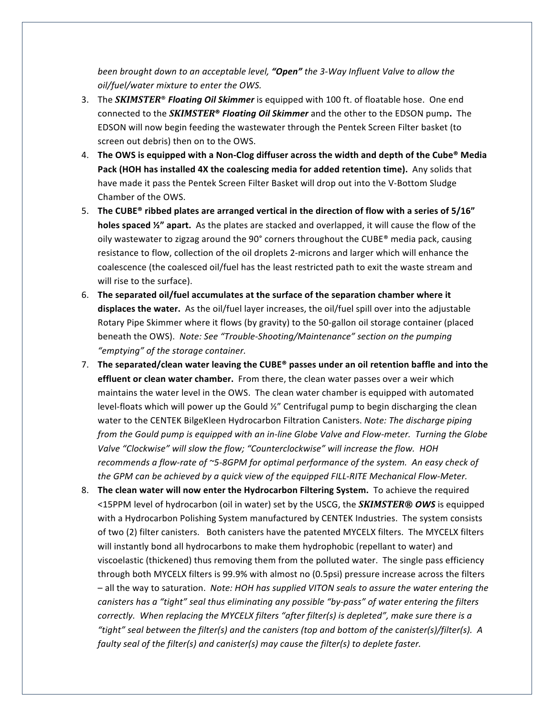*been brought down to an acceptable level, "Open"* the 3-Way Influent Valve to allow the *oil/fuel/water mixture to enter the OWS.* 

- 3. The **SKIMSTER<sup>®</sup>** Floating Oil Skimmer is equipped with 100 ft. of floatable hose. One end connected to the *SKIMSTER<sup>®</sup> Floating Oil Skimmer* and the other to the EDSON pump. The EDSON will now begin feeding the wastewater through the Pentek Screen Filter basket (to screen out debris) then on to the OWS.
- 4. The OWS is equipped with a Non-Clog diffuser across the width and depth of the Cube<sup>®</sup> Media Pack (HOH has installed 4X the coalescing media for added retention time). Any solids that have made it pass the Pentek Screen Filter Basket will drop out into the V-Bottom Sludge Chamber of the OWS.
- 5. The CUBE<sup>®</sup> ribbed plates are arranged vertical in the direction of flow with a series of 5/16" **holes spaced '/'' apart.** As the plates are stacked and overlapped, it will cause the flow of the oily wastewater to zigzag around the 90° corners throughout the CUBE® media pack, causing resistance to flow, collection of the oil droplets 2-microns and larger which will enhance the coalescence (the coalesced oil/fuel has the least restricted path to exit the waste stream and will rise to the surface).
- 6. The separated oil/fuel accumulates at the surface of the separation chamber where it displaces the water. As the oil/fuel layer increases, the oil/fuel spill over into the adjustable Rotary Pipe Skimmer where it flows (by gravity) to the 50-gallon oil storage container (placed beneath the OWS). Note: See "Trouble-Shooting/Maintenance" section on the pumping *"emptying" of the storage container.*
- 7. The separated/clean water leaving the CUBE<sup>®</sup> passes under an oil retention baffle and into the **effluent or clean water chamber.** From there, the clean water passes over a weir which maintains the water level in the OWS. The clean water chamber is equipped with automated level-floats which will power up the Gould  $\frac{y}{x}$  Centrifugal pump to begin discharging the clean water to the CENTEK BilgeKleen Hydrocarbon Filtration Canisters. Note: The discharge piping *from the Gould pump is equipped with an in-line Globe Valve and Flow-meter. Turning the Globe* Valve "Clockwise" will slow the flow; "Counterclockwise" will increase the flow. HOH recommends a flow-rate of ~5-8GPM for optimal performance of the system. An easy check of the GPM can be achieved by a quick view of the equipped FILL-RITE Mechanical Flow-Meter.
- 8. The clean water will now enter the Hydrocarbon Filtering System. To achieve the required  $\leq$ 15PPM level of hydrocarbon (oil in water) set by the USCG, the **SKIMSTER®** OWS is equipped with a Hydrocarbon Polishing System manufactured by CENTEK Industries. The system consists of two (2) filter canisters. Both canisters have the patented MYCELX filters. The MYCELX filters will instantly bond all hydrocarbons to make them hydrophobic (repellant to water) and viscoelastic (thickened) thus removing them from the polluted water. The single pass efficiency through both MYCELX filters is 99.9% with almost no (0.5psi) pressure increase across the filters - all the way to saturation. Note: HOH has supplied VITON seals to assure the water entering the *canisters has a "tight" seal thus eliminating any possible "by-pass" of water entering the filters correctly.* When replacing the MYCELX filters "after filter(s) is depleted", make sure there is a *"tight" seal between the filter(s) and the canisters (top and bottom of the canister(s)/filter(s). A faulty* seal of the filter(s) and canister(s) may cause the filter(s) to deplete faster.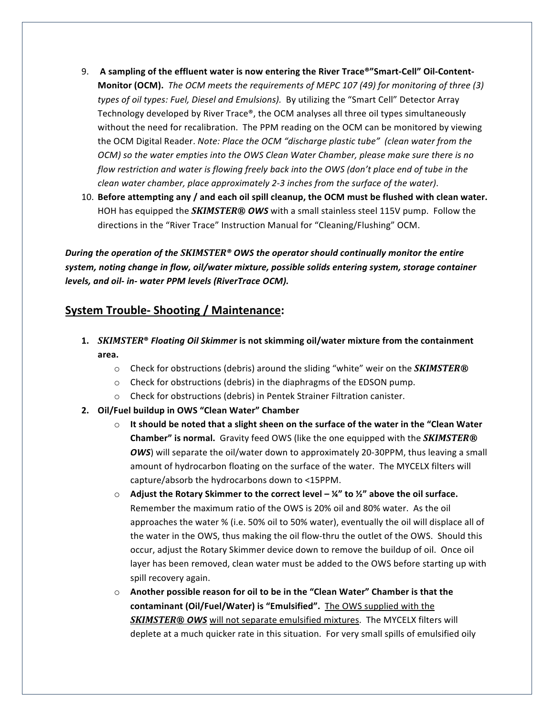- 9. A sampling of the effluent water is now entering the River Trace<sup>®</sup>"Smart-Cell" Oil-Content-**Monitor (OCM).** *The OCM meets the requirements of MEPC 107 (49) for monitoring of three (3)* types of oil types: Fuel, Diesel and Emulsions). By utilizing the "Smart Cell" Detector Array Technology developed by River Trace®, the OCM analyses all three oil types simultaneously without the need for recalibration. The PPM reading on the OCM can be monitored by viewing the OCM Digital Reader. *Note: Place the OCM "discharge plastic tube" (clean water from the OCM*) so the water empties into the *OWS* Clean Water Chamber, please make sure there is no *flow restriction and water is flowing freely back into the OWS (don't place end of tube in the clean* water chamber, place approximately 2-3 inches from the surface of the water).
- 10. Before attempting any / and each oil spill cleanup, the OCM must be flushed with clean water. HOH has equipped the **SKIMSTER<sup>®</sup> OWS** with a small stainless steel 115V pump. Follow the directions in the "River Trace" Instruction Manual for "Cleaning/Flushing" OCM.

*During the operation of the SKIMSTER<sup>®</sup> OWS the operator should continually monitor the entire* system, noting change in flow, oil/water mixture, possible solids entering system, storage container *levels, and oil- in-* water PPM levels (RiverTrace OCM).

#### **System Trouble- Shooting / Maintenance:**

- **1.** *SKIMSTER*<sup>®</sup> *Floating Oil Skimmer* is not skimming oil/water mixture from the containment **area.** 
	- Check for obstructions (debris) around the sliding "white" weir on the **SKIMSTER®**
	- $\circ$  Check for obstructions (debris) in the diaphragms of the EDSON pump.
	- $\circ$  Check for obstructions (debris) in Pentek Strainer Filtration canister.
- **2. Oil/Fuel buildup in OWS "Clean Water" Chamber**
	- $\circ$  It should be noted that a slight sheen on the surface of the water in the "Clean Water **Chamber"** is normal. Gravity feed OWS (like the one equipped with the *SKIMSTER®* **OWS**) will separate the oil/water down to approximately 20-30PPM, thus leaving a small amount of hydrocarbon floating on the surface of the water. The MYCELX filters will capture/absorb the hydrocarbons down to <15PPM.
	- $\circ$  Adjust the Rotary Skimmer to the correct level  $\frac{1}{4}$  to  $\frac{1}{2}$  above the oil surface. Remember the maximum ratio of the OWS is 20% oil and 80% water. As the oil approaches the water % (i.e. 50% oil to 50% water), eventually the oil will displace all of the water in the OWS, thus making the oil flow-thru the outlet of the OWS. Should this occur, adjust the Rotary Skimmer device down to remove the buildup of oil. Once oil layer has been removed, clean water must be added to the OWS before starting up with spill recovery again.
	- $\circ$  Another possible reason for oil to be in the "Clean Water" Chamber is that the contaminant (Oil/Fuel/Water) is "Emulsified". The OWS supplied with the **SKIMSTER®** OWS will not separate emulsified mixtures. The MYCELX filters will deplete at a much quicker rate in this situation. For very small spills of emulsified oily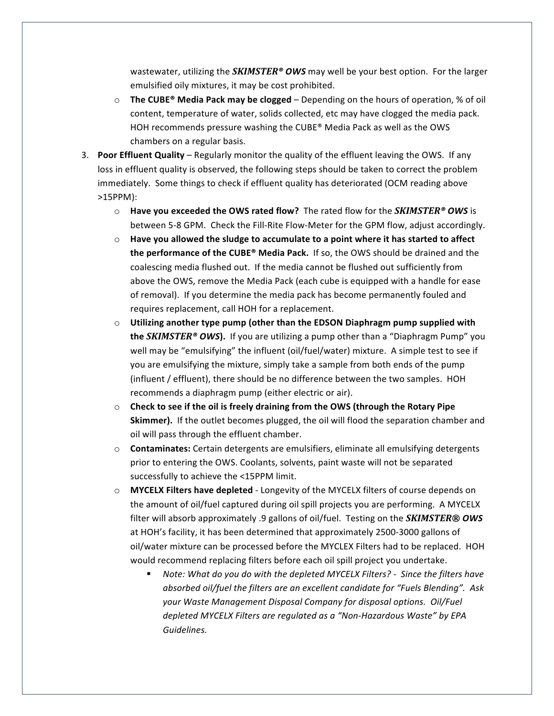wastewater, utilizing the **SKIMSTER<sup>®</sup> OWS** may well be your best option. For the larger emulsified oily mixtures, it may be cost prohibited.

- $\circ$  **The CUBE®** Media Pack may be clogged Depending on the hours of operation, % of oil content, temperature of water, solids collected, etc may have clogged the media pack. HOH recommends pressure washing the CUBE® Media Pack as well as the OWS chambers on a regular basis.
- 3. **Poor Effluent Quality** Regularly monitor the quality of the effluent leaving the OWS. If any loss in effluent quality is observed, the following steps should be taken to correct the problem immediately. Some things to check if effluent quality has deteriorated (OCM reading above >15PPM):
	- $\circ$  **Have you exceeded the OWS rated flow?** The rated flow for the *SKIMSTER*<sup>®</sup> OWS is between 5-8 GPM. Check the Fill-Rite Flow-Meter for the GPM flow, adjust accordingly.
	- $\circ$  Have you allowed the sludge to accumulate to a point where it has started to affect **the performance of the CUBE® Media Pack.** If so, the OWS should be drained and the coalescing media flushed out. If the media cannot be flushed out sufficiently from above the OWS, remove the Media Pack (each cube is equipped with a handle for ease of removal). If you determine the media pack has become permanently fouled and requires replacement, call HOH for a replacement.
	- $\circ$  Utilizing another type pump (other than the EDSON Diaphragm pump supplied with **the** *SKIMSTER***<sup>®</sup> OWS**). If you are utilizing a pump other than a "Diaphragm Pump" you well may be "emulsifying" the influent (oil/fuel/water) mixture. A simple test to see if you are emulsifying the mixture, simply take a sample from both ends of the pump (influent / effluent), there should be no difference between the two samples. HOH recommends a diaphragm pump (either electric or air).
	- $\circ$  Check to see if the oil is freely draining from the OWS (through the Rotary Pipe **Skimmer).** If the outlet becomes plugged, the oil will flood the separation chamber and oil will pass through the effluent chamber.
	- $\circ$  **Contaminates:** Certain detergents are emulsifiers, eliminate all emulsifying detergents prior to entering the OWS. Coolants, solvents, paint waste will not be separated successfully to achieve the <15PPM limit.
	- o **MYCELX Filters have depleted** Longevity of the MYCELX filters of course depends on the amount of oil/fuel captured during oil spill projects you are performing. A MYCELX filter will absorb approximately .9 gallons of oil/fuel. Testing on the **SKIMSTER®** OWS at HOH's facility, it has been determined that approximately 2500-3000 gallons of oil/water mixture can be processed before the MYCLEX Filters had to be replaced. HOH would recommend replacing filters before each oil spill project you undertake.
		- Note: What do you do with the depleted MYCELX Filters? Since the filters have *absorbed oil/fuel the filters are an excellent candidate for "Fuels Blending". Ask* your Waste Management Disposal Company for disposal options. Oil/Fuel depleted MYCELX Filters are regulated as a "Non-Hazardous Waste" by EPA *Guidelines.*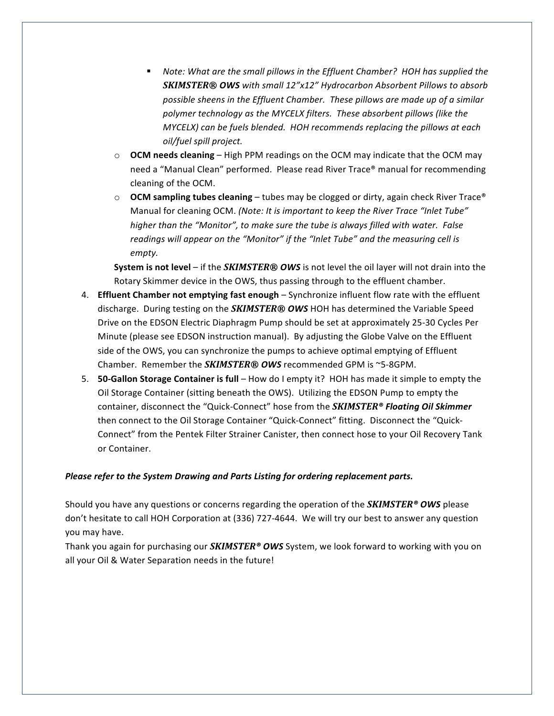- **Note:** What are the small pillows in the Effluent Chamber? HOH has supplied the **SKIMSTER®** OWS with small 12"x12" Hydrocarbon Absorbent Pillows to absorb possible sheens in the Effluent Chamber. These pillows are made up of a similar polymer technology as the MYCELX filters. These absorbent pillows (like the *MYCELX)* can be fuels blended. HOH recommends replacing the pillows at each *oil/fuel spill project.*
- **OCM needs cleaning** High PPM readings on the OCM may indicate that the OCM may need a "Manual Clean" performed. Please read River Trace® manual for recommending cleaning of the OCM.
- $\circ$  **OCM** sampling tubes cleaning tubes may be clogged or dirty, again check River Trace<sup>®</sup> Manual for cleaning OCM. *(Note: It is important to keep the River Trace "Inlet Tube" higher* than the "Monitor", to make sure the tube is always filled with water. False readings will appear on the "Monitor" if the "Inlet Tube" and the measuring cell is *empty.*

**System is not level** – if the *SKIMSTER®* OWS is not level the oil layer will not drain into the Rotary Skimmer device in the OWS, thus passing through to the effluent chamber.

- 4. **Effluent Chamber not emptying fast enough** Synchronize influent flow rate with the effluent discharge. During testing on the **SKIMSTER® OWS** HOH has determined the Variable Speed Drive on the EDSON Electric Diaphragm Pump should be set at approximately 25-30 Cycles Per Minute (please see EDSON instruction manual). By adjusting the Globe Valve on the Effluent side of the OWS, you can synchronize the pumps to achieve optimal emptying of Effluent Chamber. Remember the **SKIMSTER®** OWS recommended GPM is ~5-8GPM.
- 5. **50-Gallon Storage Container is full** How do I empty it? HOH has made it simple to empty the Oil Storage Container (sitting beneath the OWS). Utilizing the EDSON Pump to empty the container, disconnect the "Quick-Connect" hose from the **SKIMSTER<sup>®</sup> Floating Oil Skimmer** then connect to the Oil Storage Container "Quick-Connect" fitting. Disconnect the "Quick-Connect" from the Pentek Filter Strainer Canister, then connect hose to your Oil Recovery Tank or Container.

#### Please refer to the System Drawing and Parts Listing for ordering replacement parts.

Should you have any questions or concerns regarding the operation of the **SKIMSTER<sup>®</sup> OWS** please don't hesitate to call HOH Corporation at (336) 727-4644. We will try our best to answer any question you may have.

Thank you again for purchasing our *SKIMSTER<sup>®</sup> OWS* System, we look forward to working with you on all your Oil & Water Separation needs in the future!